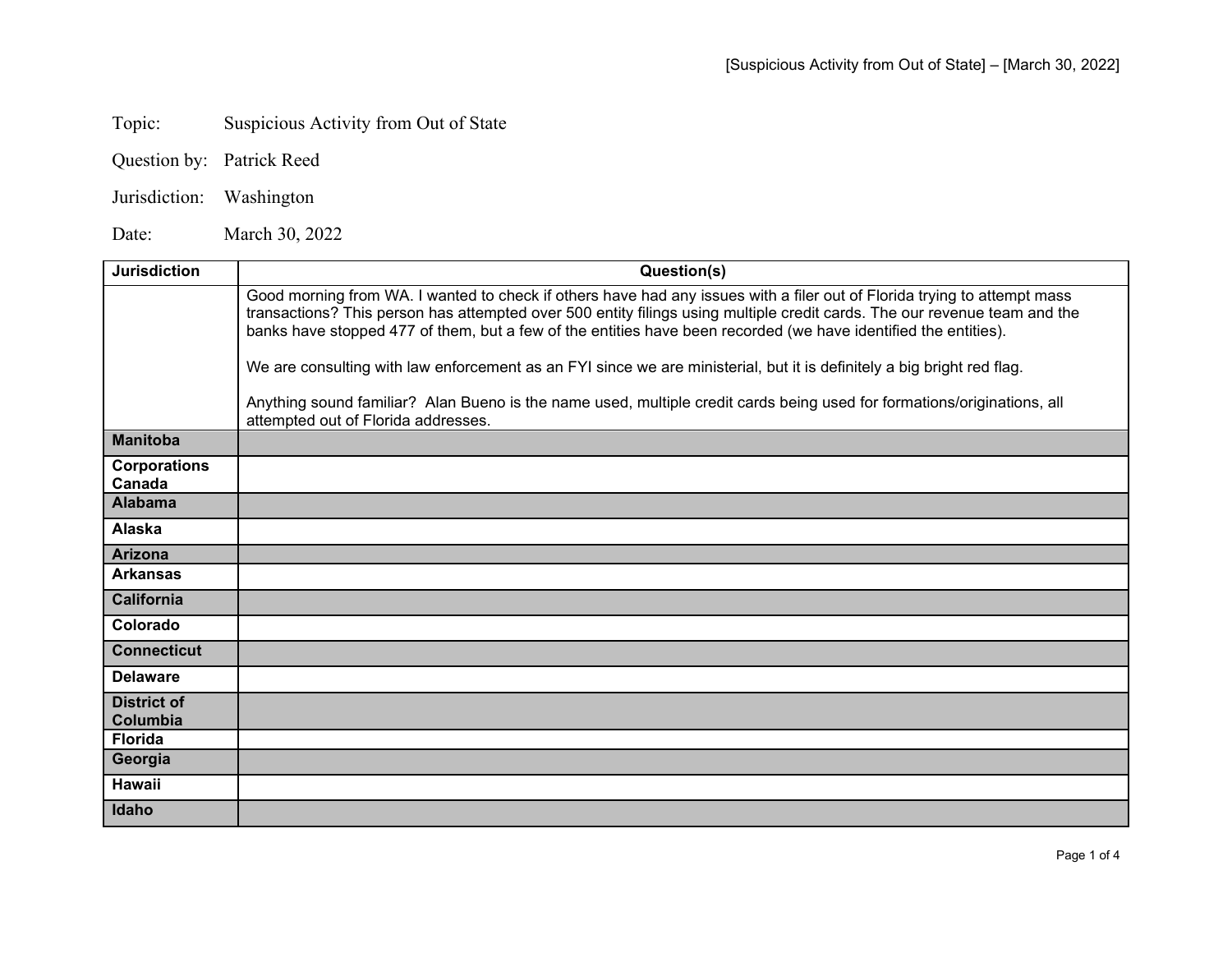## Topic: Suspicious Activity from Out of State

- Question by: Patrick Reed
- Jurisdiction: Washington

Date: March 30, 2022

| <b>Jurisdiction</b>            | Question(s)                                                                                                                                                                                                                                                                                                                                                              |
|--------------------------------|--------------------------------------------------------------------------------------------------------------------------------------------------------------------------------------------------------------------------------------------------------------------------------------------------------------------------------------------------------------------------|
|                                | Good morning from WA. I wanted to check if others have had any issues with a filer out of Florida trying to attempt mass<br>transactions? This person has attempted over 500 entity filings using multiple credit cards. The our revenue team and the<br>banks have stopped 477 of them, but a few of the entities have been recorded (we have identified the entities). |
|                                | We are consulting with law enforcement as an FYI since we are ministerial, but it is definitely a big bright red flag.                                                                                                                                                                                                                                                   |
|                                | Anything sound familiar? Alan Bueno is the name used, multiple credit cards being used for formations/originations, all<br>attempted out of Florida addresses.                                                                                                                                                                                                           |
| <b>Manitoba</b>                |                                                                                                                                                                                                                                                                                                                                                                          |
| <b>Corporations</b><br>Canada  |                                                                                                                                                                                                                                                                                                                                                                          |
| <b>Alabama</b>                 |                                                                                                                                                                                                                                                                                                                                                                          |
| Alaska                         |                                                                                                                                                                                                                                                                                                                                                                          |
| <b>Arizona</b>                 |                                                                                                                                                                                                                                                                                                                                                                          |
| <b>Arkansas</b>                |                                                                                                                                                                                                                                                                                                                                                                          |
| California                     |                                                                                                                                                                                                                                                                                                                                                                          |
| Colorado                       |                                                                                                                                                                                                                                                                                                                                                                          |
| <b>Connecticut</b>             |                                                                                                                                                                                                                                                                                                                                                                          |
| <b>Delaware</b>                |                                                                                                                                                                                                                                                                                                                                                                          |
| <b>District of</b><br>Columbia |                                                                                                                                                                                                                                                                                                                                                                          |
| <b>Florida</b>                 |                                                                                                                                                                                                                                                                                                                                                                          |
| Georgia                        |                                                                                                                                                                                                                                                                                                                                                                          |
| <b>Hawaii</b>                  |                                                                                                                                                                                                                                                                                                                                                                          |
| Idaho                          |                                                                                                                                                                                                                                                                                                                                                                          |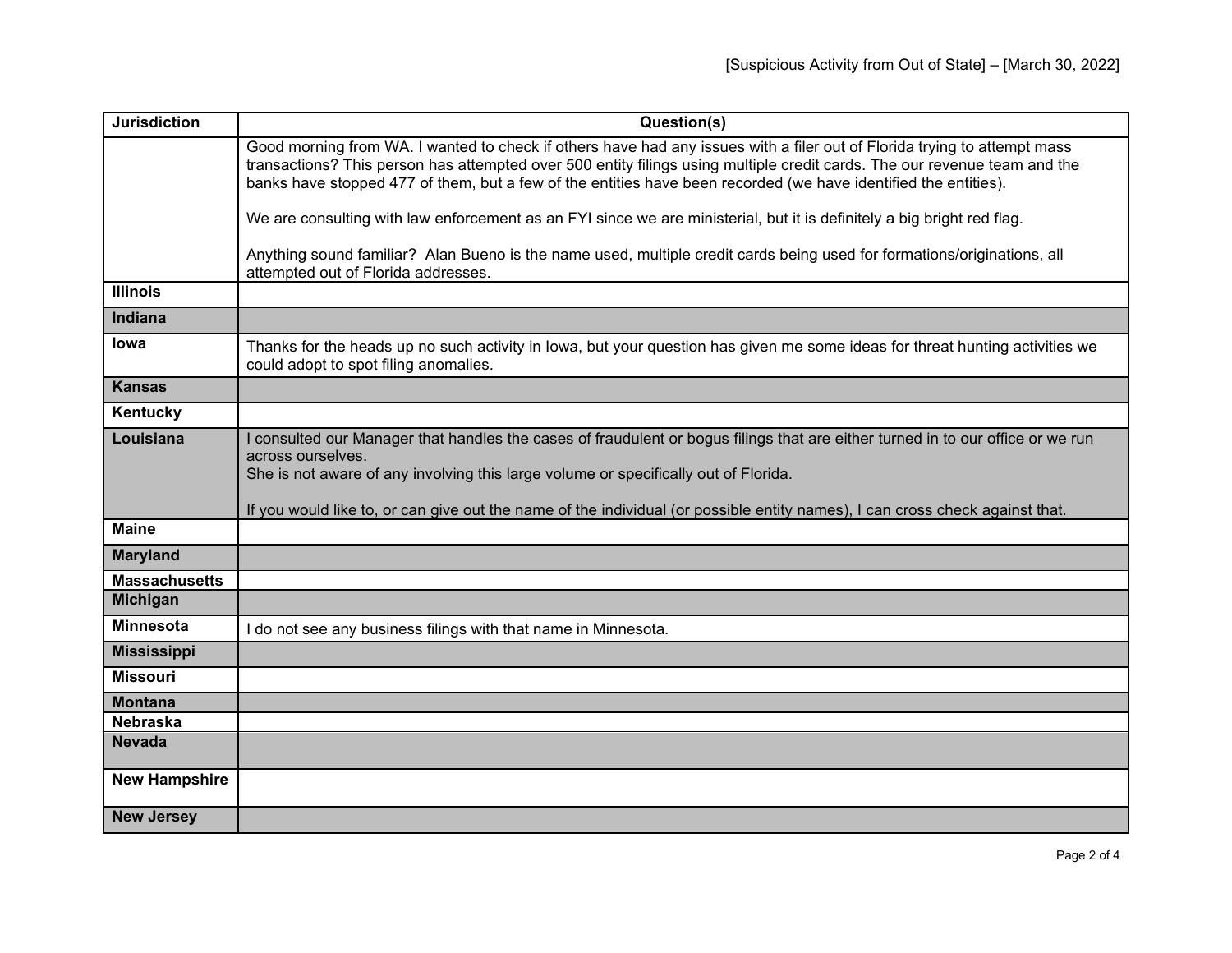| <b>Jurisdiction</b>  | Question(s)                                                                                                                                                                                                                                                                                                                                                               |
|----------------------|---------------------------------------------------------------------------------------------------------------------------------------------------------------------------------------------------------------------------------------------------------------------------------------------------------------------------------------------------------------------------|
|                      | Good morning from WA. I wanted to check if others have had any issues with a filer out of Florida trying to attempt mass<br>transactions? This person has attempted over 500 entity filings using multiple credit cards. The our revenue team and the<br>banks have stopped 477 of them, but a few of the entities have been recorded (we have identified the entities).  |
|                      |                                                                                                                                                                                                                                                                                                                                                                           |
|                      | We are consulting with law enforcement as an FYI since we are ministerial, but it is definitely a big bright red flag.                                                                                                                                                                                                                                                    |
|                      | Anything sound familiar? Alan Bueno is the name used, multiple credit cards being used for formations/originations, all<br>attempted out of Florida addresses.                                                                                                                                                                                                            |
| <b>Illinois</b>      |                                                                                                                                                                                                                                                                                                                                                                           |
| Indiana              |                                                                                                                                                                                                                                                                                                                                                                           |
| lowa                 | Thanks for the heads up no such activity in lowa, but your question has given me some ideas for threat hunting activities we<br>could adopt to spot filing anomalies.                                                                                                                                                                                                     |
| <b>Kansas</b>        |                                                                                                                                                                                                                                                                                                                                                                           |
| Kentucky             |                                                                                                                                                                                                                                                                                                                                                                           |
| Louisiana            | consulted our Manager that handles the cases of fraudulent or bogus filings that are either turned in to our office or we run<br>across ourselves.<br>She is not aware of any involving this large volume or specifically out of Florida.<br>If you would like to, or can give out the name of the individual (or possible entity names), I can cross check against that. |
| <b>Maine</b>         |                                                                                                                                                                                                                                                                                                                                                                           |
| <b>Maryland</b>      |                                                                                                                                                                                                                                                                                                                                                                           |
| <b>Massachusetts</b> |                                                                                                                                                                                                                                                                                                                                                                           |
| <b>Michigan</b>      |                                                                                                                                                                                                                                                                                                                                                                           |
| <b>Minnesota</b>     | I do not see any business filings with that name in Minnesota.                                                                                                                                                                                                                                                                                                            |
| <b>Mississippi</b>   |                                                                                                                                                                                                                                                                                                                                                                           |
| <b>Missouri</b>      |                                                                                                                                                                                                                                                                                                                                                                           |
| <b>Montana</b>       |                                                                                                                                                                                                                                                                                                                                                                           |
| <b>Nebraska</b>      |                                                                                                                                                                                                                                                                                                                                                                           |
| <b>Nevada</b>        |                                                                                                                                                                                                                                                                                                                                                                           |
| <b>New Hampshire</b> |                                                                                                                                                                                                                                                                                                                                                                           |
| <b>New Jersey</b>    |                                                                                                                                                                                                                                                                                                                                                                           |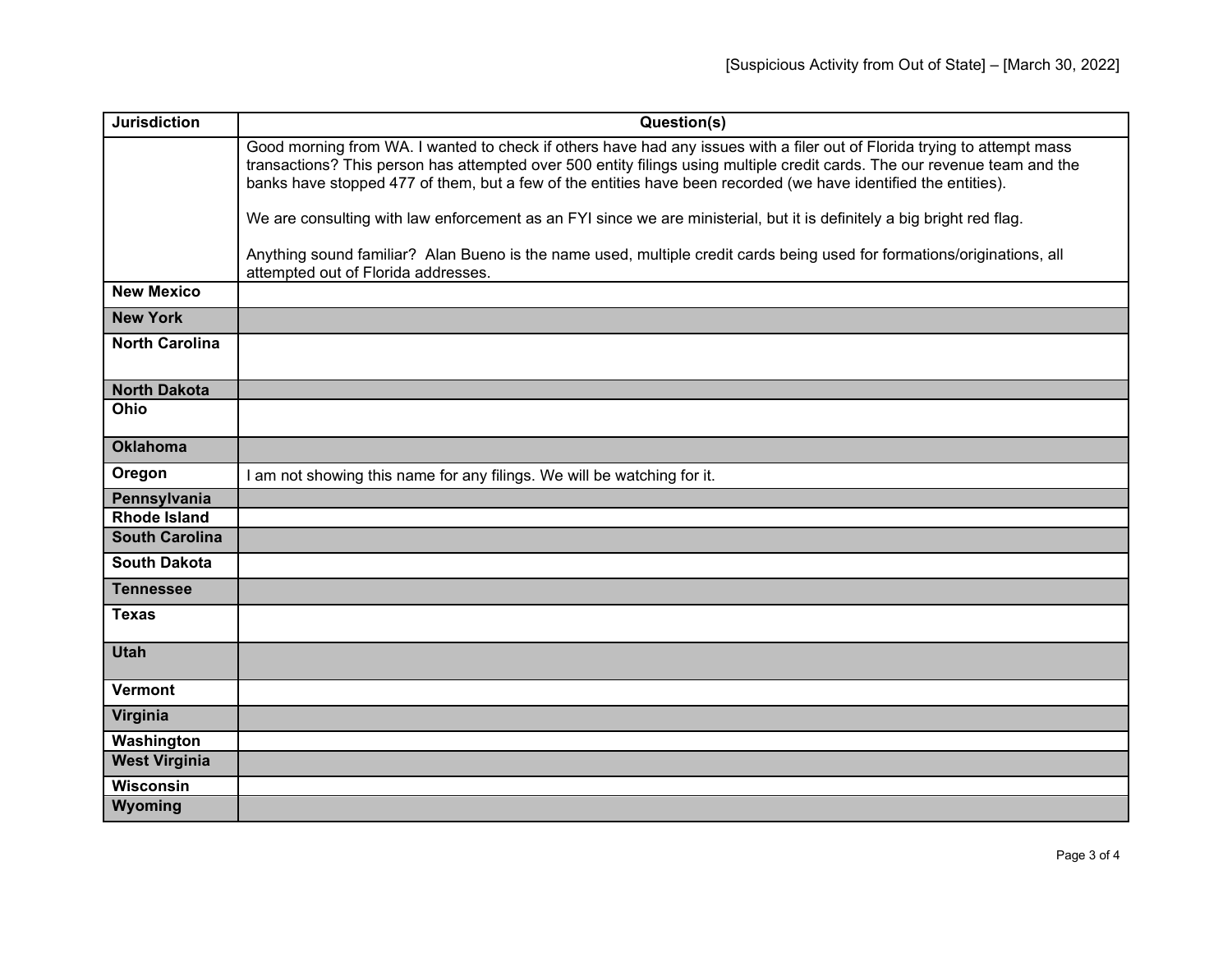| <b>Jurisdiction</b>   | Question(s)                                                                                                                                                                                                                                                                                                                                                              |
|-----------------------|--------------------------------------------------------------------------------------------------------------------------------------------------------------------------------------------------------------------------------------------------------------------------------------------------------------------------------------------------------------------------|
|                       | Good morning from WA. I wanted to check if others have had any issues with a filer out of Florida trying to attempt mass<br>transactions? This person has attempted over 500 entity filings using multiple credit cards. The our revenue team and the<br>banks have stopped 477 of them, but a few of the entities have been recorded (we have identified the entities). |
|                       | We are consulting with law enforcement as an FYI since we are ministerial, but it is definitely a big bright red flag.                                                                                                                                                                                                                                                   |
|                       | Anything sound familiar? Alan Bueno is the name used, multiple credit cards being used for formations/originations, all<br>attempted out of Florida addresses.                                                                                                                                                                                                           |
| <b>New Mexico</b>     |                                                                                                                                                                                                                                                                                                                                                                          |
| <b>New York</b>       |                                                                                                                                                                                                                                                                                                                                                                          |
| <b>North Carolina</b> |                                                                                                                                                                                                                                                                                                                                                                          |
| <b>North Dakota</b>   |                                                                                                                                                                                                                                                                                                                                                                          |
| Ohio                  |                                                                                                                                                                                                                                                                                                                                                                          |
| <b>Oklahoma</b>       |                                                                                                                                                                                                                                                                                                                                                                          |
| Oregon                | I am not showing this name for any filings. We will be watching for it.                                                                                                                                                                                                                                                                                                  |
| Pennsylvania          |                                                                                                                                                                                                                                                                                                                                                                          |
| <b>Rhode Island</b>   |                                                                                                                                                                                                                                                                                                                                                                          |
| <b>South Carolina</b> |                                                                                                                                                                                                                                                                                                                                                                          |
| <b>South Dakota</b>   |                                                                                                                                                                                                                                                                                                                                                                          |
| <b>Tennessee</b>      |                                                                                                                                                                                                                                                                                                                                                                          |
| <b>Texas</b>          |                                                                                                                                                                                                                                                                                                                                                                          |
| <b>Utah</b>           |                                                                                                                                                                                                                                                                                                                                                                          |
| <b>Vermont</b>        |                                                                                                                                                                                                                                                                                                                                                                          |
| Virginia              |                                                                                                                                                                                                                                                                                                                                                                          |
| Washington            |                                                                                                                                                                                                                                                                                                                                                                          |
| <b>West Virginia</b>  |                                                                                                                                                                                                                                                                                                                                                                          |
| <b>Wisconsin</b>      |                                                                                                                                                                                                                                                                                                                                                                          |
| Wyoming               |                                                                                                                                                                                                                                                                                                                                                                          |